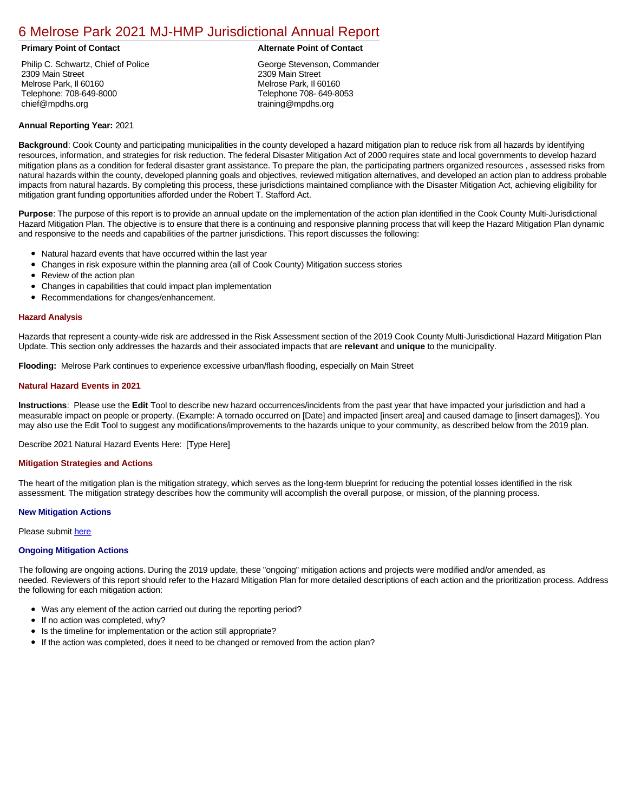# [6 Melrose Park 2021 MJ-HMP Jurisdictional Annual Report](https://melrose.isc-cemp.com/Cemp/Details?id=8322751)

Philip C. Schwartz, Chief of Police 2309 Main Street Melrose Park, Il 60160 Telephone: 708-649-8000 chief@mpdhs.org

#### **Primary Point of Contact Alternate Point of Contact**

George Stevenson, Commander 2309 Main Street Melrose Park, Il 60160 Telephone 708- 649-8053 training@mpdhs.org

## **Annual Reporting Year:** 2021

**Background**: Cook County and participating municipalities in the county developed a hazard mitigation plan to reduce risk from all hazards by identifying resources, information, and strategies for risk reduction. The federal Disaster Mitigation Act of 2000 requires state and local governments to develop hazard mitigation plans as a condition for federal disaster grant assistance. To prepare the plan, the participating partners organized resources , assessed risks from natural hazards within the county, developed planning goals and objectives, reviewed mitigation alternatives, and developed an action plan to address probable impacts from natural hazards. By completing this process, these jurisdictions maintained compliance with the Disaster Mitigation Act, achieving eligibility for mitigation grant funding opportunities afforded under the Robert T. Stafford Act.

**Purpose**: The purpose of this report is to provide an annual update on the implementation of the action plan identified in the Cook County Multi-Jurisdictional Hazard Mitigation Plan. The objective is to ensure that there is a continuing and responsive planning process that will keep the Hazard Mitigation Plan dynamic and responsive to the needs and capabilities of the partner jurisdictions. This report discusses the following:

- Natural hazard events that have occurred within the last year
- $\bullet$ Changes in risk exposure within the planning area (all of Cook County) Mitigation success stories
- Review of the action plan  $\bullet$
- $\bullet$ Changes in capabilities that could impact plan implementation
- Recommendations for changes/enhancement.  $\bullet$

#### **Hazard Analysis**

Hazards that represent a county-wide risk are addressed in the Risk Assessment section of the 2019 Cook County Multi-Jurisdictional Hazard Mitigation Plan Update. This section only addresses the hazards and their associated impacts that are **relevant** and **unique** to the municipality.

**Flooding:** Melrose Park continues to experience excessive urban/flash flooding, especially on Main Street

### **Natural Hazard Events in 2021**

**Instructions**: Please use the **Edit** Tool to describe new hazard occurrences/incidents from the past year that have impacted your jurisdiction and had a measurable impact on people or property. (Example: A tornado occurred on [Date] and impacted [insert area] and caused damage to [insert damages]). You may also use the Edit Tool to suggest any modifications/improvements to the hazards unique to your community, as described below from the 2019 plan.

Describe 2021 Natural Hazard Events Here: [Type Here]

#### **Mitigation Strategies and Actions**

The heart of the mitigation plan is the mitigation strategy, which serves as the long-term blueprint for reducing the potential losses identified in the risk assessment. The mitigation strategy describes how the community will accomplish the overall purpose, or mission, of the planning process.

#### **New Mitigation Actions**

Please submit [here](https://integratedsolutions.wufoo.com/forms/mg21jvf0jn639o/)

#### **Ongoing Mitigation Actions**

The following are ongoing actions. During the 2019 update, these "ongoing" mitigation actions and projects were modified and/or amended, as needed. Reviewers of this report should refer to the Hazard Mitigation Plan for more detailed descriptions of each action and the prioritization process. Address the following for each mitigation action:

- Was any element of the action carried out during the reporting period?
- $\bullet$ If no action was completed, why?
- Is the timeline for implementation or the action still appropriate?
- If the action was completed, does it need to be changed or removed from the action plan?